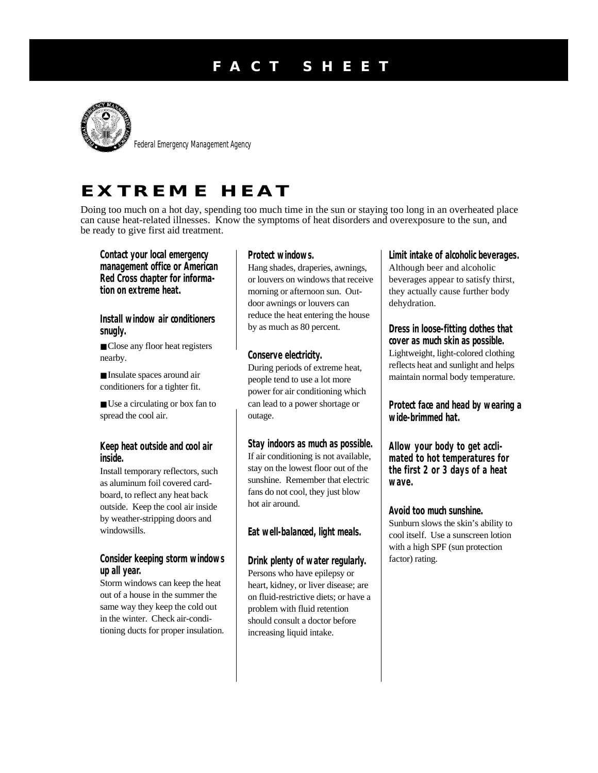# **F A C T S H E E T**



Federal Emergency Management Agency

# **E X T R E M E H E AT**

Doing too much on a hot day, spending too much time in the sun or staying too long in an overheated place can cause heat-related illnesses. Know the symptoms of heat disorders and overexposure to the sun, and be ready to give first aid treatment.

**Contact your local emergency management office or American Red Cross chapter for information on extreme heat.**

**Install window air conditioners snugly.**

■ Close any floor heat registers nearby.

■ Insulate spaces around air conditioners for a tighter fit.

■ Use a circulating or box fan to spread the cool air.

**Keep heat outside and cool air inside.**

Install temporary reflectors, such as aluminum foil covered cardboard, to reflect any heat back outside. Keep the cool air inside by weather-stripping doors and windowsills.

**Consider keeping storm windows up all year.**

Storm windows can keep the heat out of a house in the summer the same way they keep the cold out in the winter. Check air-conditioning ducts for proper insulation.

#### **Protect windows.**

Hang shades, draperies, awnings, or louvers on windows that receive morning or afternoon sun. Outdoor awnings or louvers can reduce the heat entering the house by as much as 80 percent.

**Conserve electricity.** During periods of extreme heat, people tend to use a lot more power for air conditioning which can lead to a power shortage or outage.

**Stay indoors as much as possible.** If air conditioning is not available, stay on the lowest floor out of the sunshine. Remember that electric fans do not cool, they just blow hot air around.

**Eat well-balanced, light meals.**

**Drink plenty of water regularly.** Persons who have epilepsy or heart, kidney, or liver disease; are on fluid-restrictive diets; or have a problem with fluid retention should consult a doctor before increasing liquid intake.

**Limit intake of alcoholic beverages.** Although beer and alcoholic beverages appear to satisfy thirst, they actually cause further body dehydration.

**Dress in loose-fitting clothes that cover as much skin as possible.** Lightweight, light-colored clothing reflects heat and sunlight and helps maintain normal body temperature.

**Protect face and head by wearing a wide-brimmed hat.**

**Allow your body to get acclimated to hot temperatures for the first 2 or 3 days of a heat wave.**

**Avoid too much sunshine.** Sunburn slows the skin's ability to cool itself. Use a sunscreen lotion with a high SPF (sun protection factor) rating.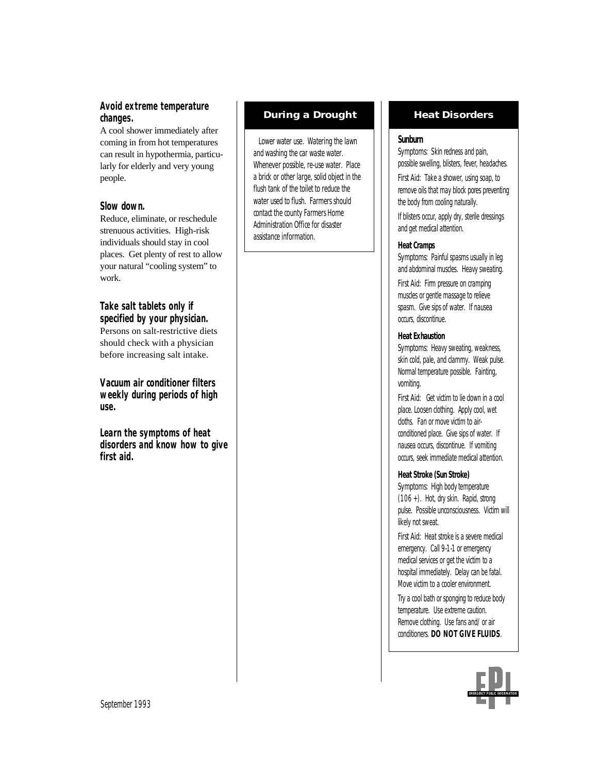## **Avoid extreme temperature changes.**

A cool shower immediately after coming in from hot temperatures can result in hypothermia, particularly for elderly and very young people.

#### **Slow down.**

Reduce, eliminate, or reschedule strenuous activities. High-risk individuals should stay in cool places. Get plenty of rest to allow your natural "cooling system" to work.

**Take salt tablets only if specified by your physician.** Persons on salt-restrictive diets should check with a physician before increasing salt intake.

**Vacuum air conditioner filters weekly during periods of high use.**

**Learn the symptoms of heat disorders and know how to give first aid.**

# **During a Drought**

Lower water use. Watering the lawn and washing the car waste water. Whenever possible, re-use water. Place a brick or other large, solid object in the flush tank of the toilet to reduce the water used to flush. Farmers should contact the county Farmers Home Administration Office for disaster assistance information.

### **Heat Disorders**

#### **Sunburn**

Symptoms: Skin redness and pain, possible swelling, blisters, fever, headaches. First Aid: Take a shower, using soap, to remove oils that may block pores preventing the body from cooling naturally.

If blisters occur, apply dry, sterile dressings and get medical attention.

#### **Heat Cramps**

Symptoms: Painful spasms usually in leg and abdominal muscles. Heavy sweating.

First Aid: Firm pressure on cramping muscles or gentle massage to relieve spasm. Give sips of water. If nausea occurs, discontinue.

#### **Heat Exhaustion**

Symptoms: Heavy sweating, weakness, skin cold, pale, and clammy. Weak pulse. Normal temperature possible. Fainting, vomiting.

First Aid: Get victim to lie down in a cool place. Loosen clothing. Apply cool, wet cloths. Fan or move victim to airconditioned place. Give sips of water. If nausea occurs, discontinue. If vomiting occurs, seek immediate medical attention.

**Heat Stroke (Sun Stroke)** Symptoms: High body temperature (106 +). Hot, dry skin. Rapid, strong pulse. Possible unconsciousness. Victim will likely not sweat.

First Aid: Heat stroke is a severe medical emergency. Call 9-1-1 or emergency medical services or get the victim to a hospital immediately. Delay can be fatal. Move victim to a cooler environment.

Try a cool bath or sponging to reduce body temperature. Use extreme caution. Remove clothing. Use fans and/or air conditioners. **DO NOT GIVE FLUIDS**.

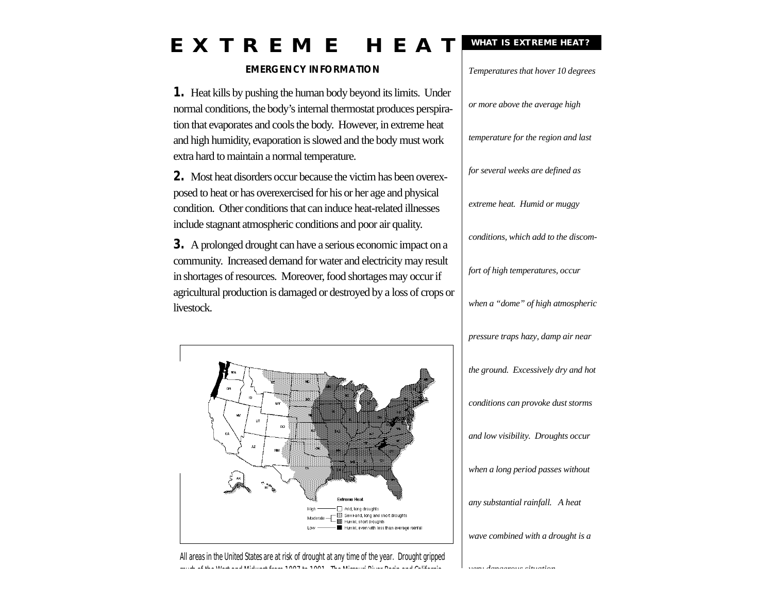# **E X T R E M E H E A T**

## **EMERGENCY INFORMATION**

**1.** Heat kills by pushing the human body beyond its limits. Under normal conditions, the body's internal thermostat produces perspiration that evaporates and cools the body. However, in extreme heat and high humidity, evaporation is slowed and the body must work extra hard to maintain a normal temperature.

**2.** Most heat disorders occur because the victim has been overexposed to heat or has overexercised for his or her age and physical condition. Other conditions that can induce heat-related illnesses include stagnant atmospheric conditions and poor air quality.

**3.** A prolonged drought can have a serious economic impact on a community. Increased demand for water and electricity may result in shortages of resources. Moreover, food shortages may occur if agricultural production is damaged or destroyed by a loss of crops or livestock.



## **WHAT IS EXTREME HEAT?**

*Temperatures that hover 10 degrees or more above the average high temperature for the region and last for several weeks are defined as extreme heat. Humid or muggy conditions, which add to the discomfort of high temperatures, occur when a "dome" of high atmospheric pressure traps hazy, damp air near the ground. Excessively dry and hot conditions can provoke dust storms and low visibility. Droughts occur when a long period passes without any substantial rainfall. A heat wave combined with a drought is a*

All areas in the United States are at risk of drought at any time of the year. Drought gripped much of the West and Midwest from 1987 to 1991. The Missouri River Basin and California

*very dangerous situation.*